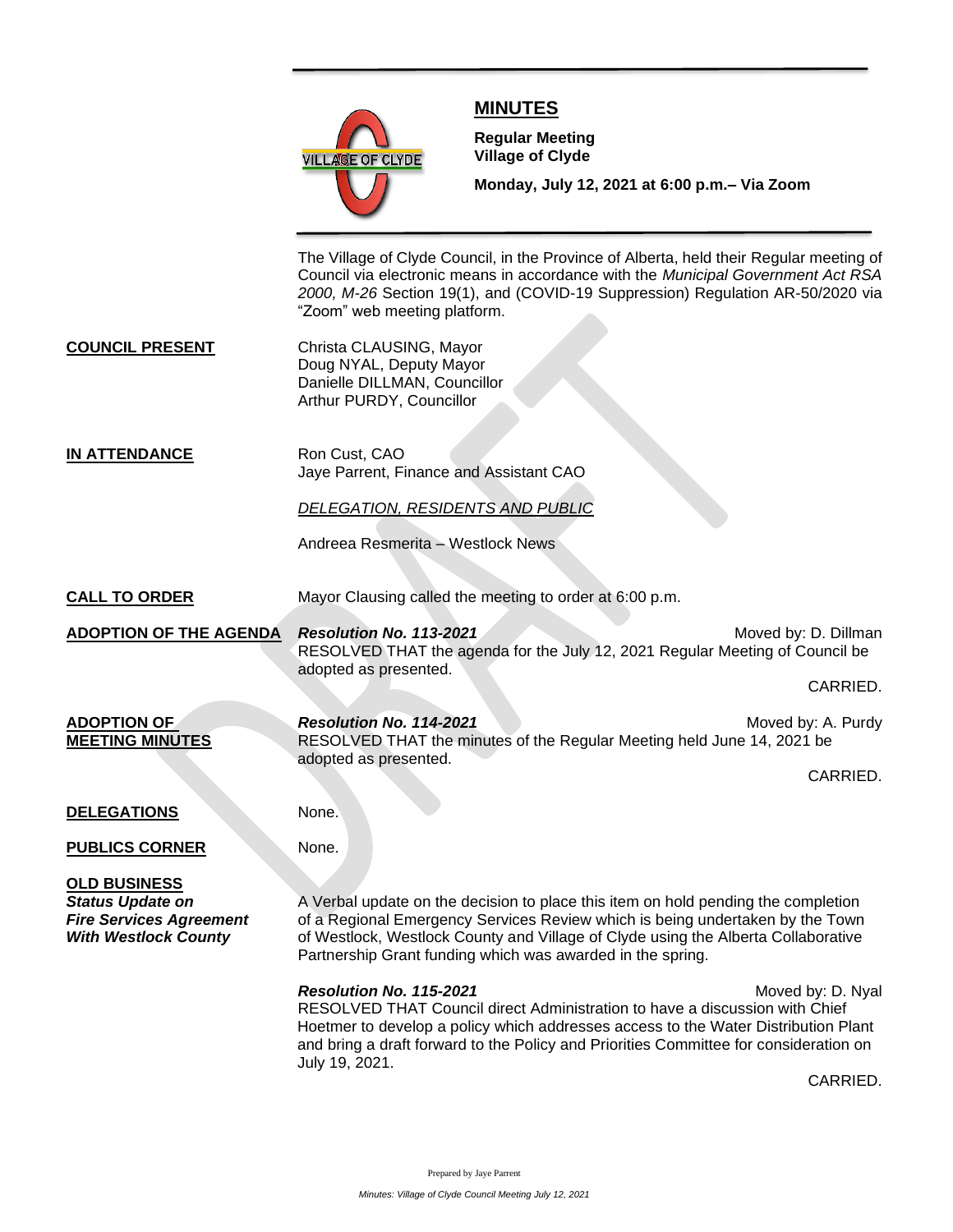

## **MINUTES**

**Meeting**

**Regular Meeting Village of Clyde**

**Monday, July 12, 2021 at 6:00 p.m.– Via Zoom** 

The Village of Clyde Council, in the Province of Alberta, held their Regular meeting of Council via electronic means in accordance with the *Municipal Government Act RSA 2000, M-26* Section 19(1), and (COVID-19 Suppression) Regulation AR-50/2020 via "Zoom" web meeting platform.

**COUNCIL PRESENT** Christa CLAUSING, Mayor Doug NYAL, Deputy Mayor Danielle DILLMAN, Councillor Arthur PURDY, Councillor

**IN ATTENDANCE** Ron Cust, CAO Jaye Parrent, Finance and Assistant CAO

*DELEGATION, RESIDENTS AND PUBLIC*

Andreea Resmerita – Westlock News

CALL TO ORDER Mayor Clausing called the meeting to order at 6:00 p.m.

**ADOPTION OF THE AGENDA** *Resolution No. 113-2021* **Moved by: D. Dillman** RESOLVED THAT the agenda for the July 12, 2021 Regular Meeting of Council be adopted as presented.

CARRIED.

**ADOPTION OF** *Resolution No. 114-2021* Moved by: A. Purdy **MEETING MINUTES** RESOLVED THAT the minutes of the Regular Meeting held June 14, 2021 be adopted as presented.

CARRIED.

## **DELEGATIONS** None.

**PUBLICS CORNER** None.

**OLD BUSINESS**

**Status Update on** A Verbal update on the decision to place this item on hold pending the completion *Fire Services Agreement* of a Regional Emergency Services Review which is being undertaken by the Town *With Westlock County* of Westlock, Westlock County and Village of Clyde using the Alberta Collaborative Partnership Grant funding which was awarded in the spring.

**Resolution No. 115-2021** Moved by: D. Nyal RESOLVED THAT Council direct Administration to have a discussion with Chief Hoetmer to develop a policy which addresses access to the Water Distribution Plant and bring a draft forward to the Policy and Priorities Committee for consideration on July 19, 2021.

CARRIED.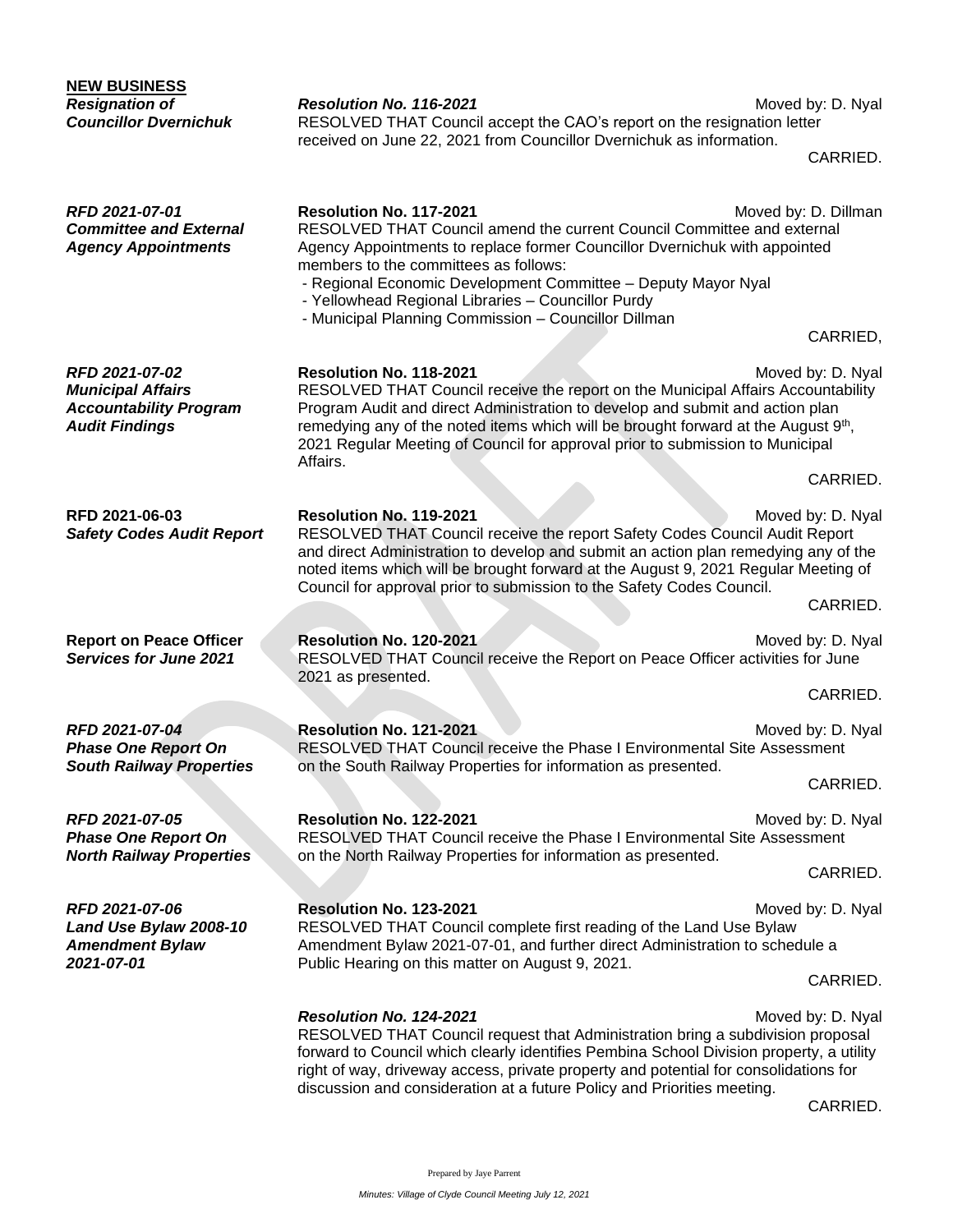| <b>NEW BUSINESS</b>                                                                                  |                                                                                                                                                                                                                                                                                                                                                                                                                  |                      |
|------------------------------------------------------------------------------------------------------|------------------------------------------------------------------------------------------------------------------------------------------------------------------------------------------------------------------------------------------------------------------------------------------------------------------------------------------------------------------------------------------------------------------|----------------------|
| <b>Resignation of</b><br><b>Councillor Dvernichuk</b>                                                | Resolution No. 116-2021<br>RESOLVED THAT Council accept the CAO's report on the resignation letter<br>received on June 22, 2021 from Councillor Dvernichuk as information.                                                                                                                                                                                                                                       | Moved by: D. Nyal    |
|                                                                                                      |                                                                                                                                                                                                                                                                                                                                                                                                                  | CARRIED.             |
| RFD 2021-07-01<br><b>Committee and External</b><br><b>Agency Appointments</b>                        | Resolution No. 117-2021<br>RESOLVED THAT Council amend the current Council Committee and external<br>Agency Appointments to replace former Councillor Dvernichuk with appointed<br>members to the committees as follows:<br>- Regional Economic Development Committee - Deputy Mayor Nyal<br>- Yellowhead Regional Libraries - Councillor Purdy<br>- Municipal Planning Commission - Councillor Dillman          | Moved by: D. Dillman |
|                                                                                                      |                                                                                                                                                                                                                                                                                                                                                                                                                  | CARRIED,             |
| RFD 2021-07-02<br><b>Municipal Affairs</b><br><b>Accountability Program</b><br><b>Audit Findings</b> | Resolution No. 118-2021<br>Moved by: D. Nyal<br>RESOLVED THAT Council receive the report on the Municipal Affairs Accountability<br>Program Audit and direct Administration to develop and submit and action plan<br>remedying any of the noted items which will be brought forward at the August 9 <sup>th</sup> ,<br>2021 Regular Meeting of Council for approval prior to submission to Municipal<br>Affairs. |                      |
|                                                                                                      |                                                                                                                                                                                                                                                                                                                                                                                                                  | CARRIED.             |
| RFD 2021-06-03<br><b>Safety Codes Audit Report</b>                                                   | Resolution No. 119-2021<br>Moved by: D. Nyal<br>RESOLVED THAT Council receive the report Safety Codes Council Audit Report<br>and direct Administration to develop and submit an action plan remedying any of the<br>noted items which will be brought forward at the August 9, 2021 Regular Meeting of<br>Council for approval prior to submission to the Safety Codes Council.                                 |                      |
|                                                                                                      |                                                                                                                                                                                                                                                                                                                                                                                                                  | CARRIED.             |
| <b>Report on Peace Officer</b><br><b>Services for June 2021</b>                                      | Resolution No. 120-2021<br>RESOLVED THAT Council receive the Report on Peace Officer activities for June<br>2021 as presented.                                                                                                                                                                                                                                                                                   | Moved by: D. Nyal    |
|                                                                                                      |                                                                                                                                                                                                                                                                                                                                                                                                                  | CARRIED.             |
| RFD 2021-07-04<br><b>Phase One Report On</b><br><b>South Railway Properties</b>                      | Resolution No. 121-2021<br>RESOLVED THAT Council receive the Phase I Environmental Site Assessment<br>on the South Railway Properties for information as presented.                                                                                                                                                                                                                                              | Moved by: D. Nyal    |
|                                                                                                      |                                                                                                                                                                                                                                                                                                                                                                                                                  | CARRIED.             |
| RFD 2021-07-05<br><b>Phase One Report On</b><br><b>North Railway Properties</b>                      | Resolution No. 122-2021<br>RESOLVED THAT Council receive the Phase I Environmental Site Assessment<br>on the North Railway Properties for information as presented.                                                                                                                                                                                                                                              | Moved by: D. Nyal    |
|                                                                                                      |                                                                                                                                                                                                                                                                                                                                                                                                                  | CARRIED.             |
| RFD 2021-07-06<br>Land Use Bylaw 2008-10<br><b>Amendment Bylaw</b><br>2021-07-01                     | Resolution No. 123-2021<br>Moved by: D. Nyal<br>RESOLVED THAT Council complete first reading of the Land Use Bylaw<br>Amendment Bylaw 2021-07-01, and further direct Administration to schedule a<br>Public Hearing on this matter on August 9, 2021.                                                                                                                                                            |                      |
|                                                                                                      |                                                                                                                                                                                                                                                                                                                                                                                                                  | CARRIED.             |
|                                                                                                      | Resolution No. 124-2021<br>RESOLVED THAT Council request that Administration bring a subdivision proposal<br>forward to Council which clearly identifies Pembina School Division property, a utility<br>right of way, driveway access, private property and potential for consolidations for<br>discussion and consideration at a future Policy and Priorities meeting.                                          | Moved by: D. Nyal    |

CARRIED.

Prepared by Jaye Parrent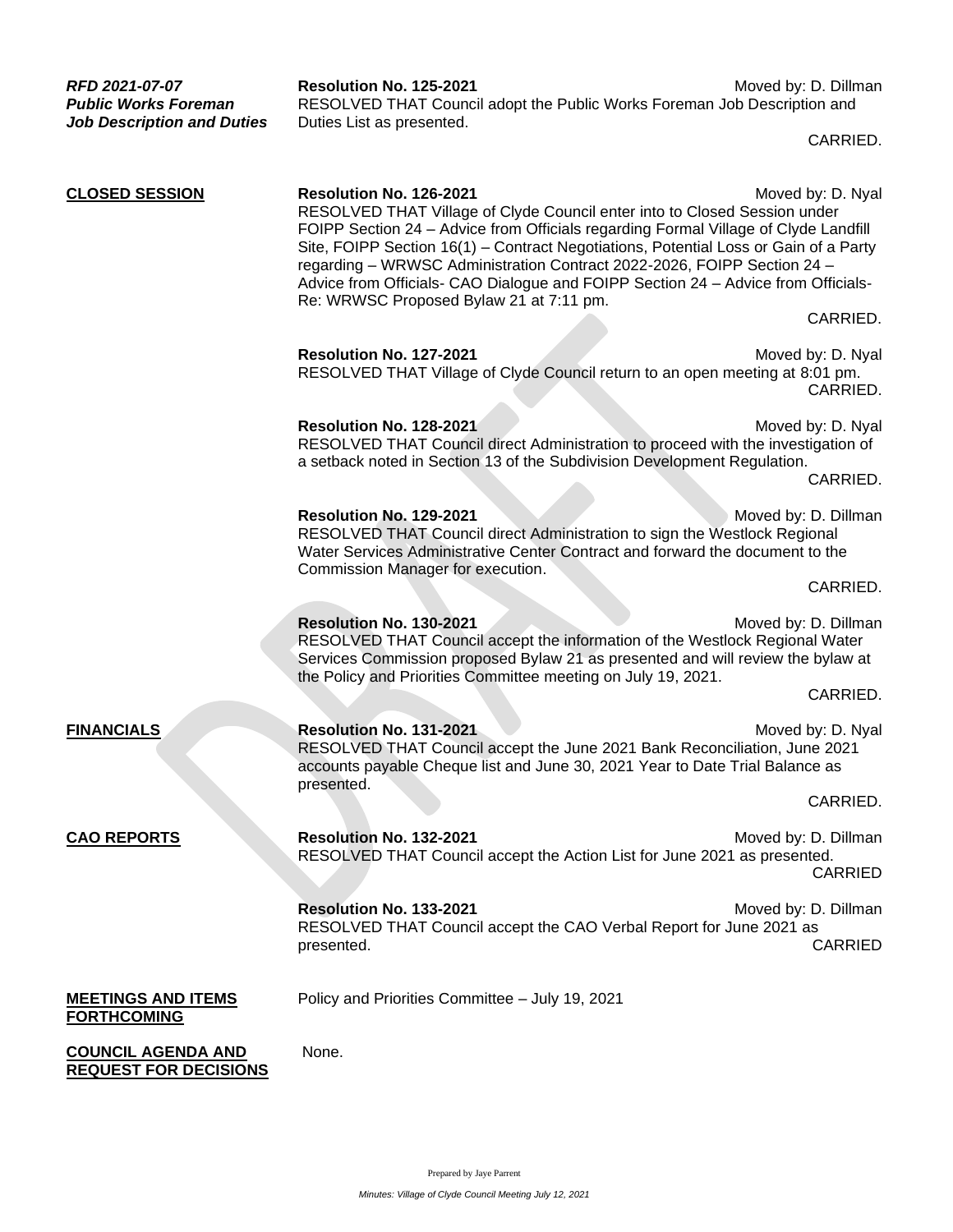| RFD 2021-07-07<br><b>Public Works Foreman</b><br><b>Job Description and Duties</b> | Resolution No. 125-2021<br>RESOLVED THAT Council adopt the Public Works Foreman Job Description and<br>Duties List as presented.                                                                                                                                                                                                                                                                                                                                                                      | Moved by: D. Dillman                   |  |
|------------------------------------------------------------------------------------|-------------------------------------------------------------------------------------------------------------------------------------------------------------------------------------------------------------------------------------------------------------------------------------------------------------------------------------------------------------------------------------------------------------------------------------------------------------------------------------------------------|----------------------------------------|--|
|                                                                                    |                                                                                                                                                                                                                                                                                                                                                                                                                                                                                                       | CARRIED.                               |  |
| <b>CLOSED SESSION</b>                                                              | <b>Resolution No. 126-2021</b><br>RESOLVED THAT Village of Clyde Council enter into to Closed Session under<br>FOIPP Section 24 - Advice from Officials regarding Formal Village of Clyde Landfill<br>Site, FOIPP Section 16(1) - Contract Negotiations, Potential Loss or Gain of a Party<br>regarding - WRWSC Administration Contract 2022-2026, FOIPP Section 24 -<br>Advice from Officials- CAO Dialogue and FOIPP Section 24 - Advice from Officials-<br>Re: WRWSC Proposed Bylaw 21 at 7:11 pm. | Moved by: D. Nyal                      |  |
|                                                                                    |                                                                                                                                                                                                                                                                                                                                                                                                                                                                                                       | CARRIED.                               |  |
|                                                                                    | Resolution No. 127-2021<br>RESOLVED THAT Village of Clyde Council return to an open meeting at 8:01 pm.                                                                                                                                                                                                                                                                                                                                                                                               | Moved by: D. Nyal<br>CARRIED.          |  |
|                                                                                    | Resolution No. 128-2021<br>RESOLVED THAT Council direct Administration to proceed with the investigation of<br>a setback noted in Section 13 of the Subdivision Development Regulation.                                                                                                                                                                                                                                                                                                               | Moved by: D. Nyal<br>CARRIED.          |  |
|                                                                                    | Resolution No. 129-2021<br>RESOLVED THAT Council direct Administration to sign the Westlock Regional<br>Water Services Administrative Center Contract and forward the document to the<br>Commission Manager for execution.                                                                                                                                                                                                                                                                            | Moved by: D. Dillman                   |  |
|                                                                                    |                                                                                                                                                                                                                                                                                                                                                                                                                                                                                                       | CARRIED.                               |  |
|                                                                                    | Resolution No. 130-2021<br>Moved by: D. Dillman<br>RESOLVED THAT Council accept the information of the Westlock Regional Water<br>Services Commission proposed Bylaw 21 as presented and will review the bylaw at<br>the Policy and Priorities Committee meeting on July 19, 2021.                                                                                                                                                                                                                    |                                        |  |
|                                                                                    |                                                                                                                                                                                                                                                                                                                                                                                                                                                                                                       | CARRIED.                               |  |
| <b>FINANCIALS</b>                                                                  | Resolution No. 131-2021<br>RESOLVED THAT Council accept the June 2021 Bank Reconciliation, June 2021<br>accounts payable Cheque list and June 30, 2021 Year to Date Trial Balance as<br>presented.                                                                                                                                                                                                                                                                                                    | Moved by: D. Nyal                      |  |
|                                                                                    |                                                                                                                                                                                                                                                                                                                                                                                                                                                                                                       | CARRIED.                               |  |
| <b>CAO REPORTS</b>                                                                 | Resolution No. 132-2021<br>RESOLVED THAT Council accept the Action List for June 2021 as presented.                                                                                                                                                                                                                                                                                                                                                                                                   | Moved by: D. Dillman<br><b>CARRIED</b> |  |
|                                                                                    | Resolution No. 133-2021<br>RESOLVED THAT Council accept the CAO Verbal Report for June 2021 as<br>presented.                                                                                                                                                                                                                                                                                                                                                                                          | Moved by: D. Dillman<br><b>CARRIED</b> |  |
| <b>MEETINGS AND ITEMS</b><br><b>FORTHCOMING</b>                                    | Policy and Priorities Committee - July 19, 2021                                                                                                                                                                                                                                                                                                                                                                                                                                                       |                                        |  |
| <b>COUNCIL AGENDA AND</b><br><b>REQUEST FOR DECISIONS</b>                          | None.                                                                                                                                                                                                                                                                                                                                                                                                                                                                                                 |                                        |  |

Prepared by Jaye Parrent